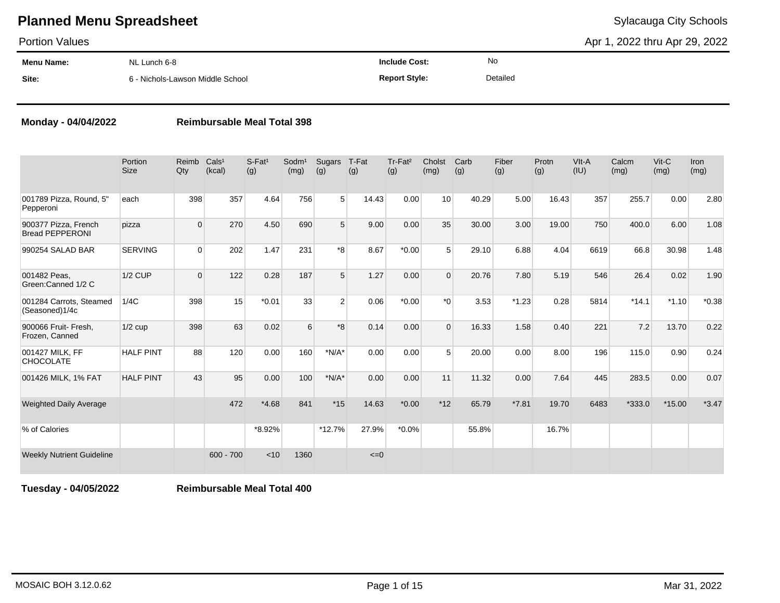Portion Values

Apr 1, 2022 thru Apr 29, 2022

| Menu Name: | NL Lunch 6-8                     | <b>Include Cost:</b> | <b>No</b> |
|------------|----------------------------------|----------------------|-----------|
| Site:      | 6 - Nichols-Lawson Middle School | <b>Report Style:</b> | Detailed  |

### **Monday - 04/04/2022 Reimbursable Meal Total 398**

|                                                | Portion<br><b>Size</b> | Reimb<br>Qty | Cals <sup>1</sup><br>(kcal) | S-Fat <sup>1</sup><br>(g) | $S$ odm $1$<br>(mg) | Sugars<br>(g)  | T-Fat<br>(g) | Tr-Fat <sup>2</sup><br>(g) | Cholst<br>(mg)   | Carb<br>(g) | Fiber<br>(g) | Protn<br>(g) | VIt-A<br>(IU) | Calcm<br>(mg) | $V$ it-C<br>(mg) | <b>Iron</b><br>(mg) |
|------------------------------------------------|------------------------|--------------|-----------------------------|---------------------------|---------------------|----------------|--------------|----------------------------|------------------|-------------|--------------|--------------|---------------|---------------|------------------|---------------------|
| 001789 Pizza, Round, 5"<br>Pepperoni           | each                   | 398          | 357                         | 4.64                      | 756                 | 5 <sup>1</sup> | 14.43        | 0.00                       | 10               | 40.29       | 5.00         | 16.43        | 357           | 255.7         | 0.00             | 2.80                |
| 900377 Pizza, French<br><b>Bread PEPPERONI</b> | pizza                  | $\Omega$     | 270                         | 4.50                      | 690                 | 5              | 9.00         | 0.00                       | 35               | 30.00       | 3.00         | 19.00        | 750           | 400.0         | 6.00             | 1.08                |
| 990254 SALAD BAR                               | <b>SERVING</b>         | $\Omega$     | 202                         | 1.47                      | 231                 | *8             | 8.67         | $*0.00$                    | 5                | 29.10       | 6.88         | 4.04         | 6619          | 66.8          | 30.98            | 1.48                |
| 001482 Peas.<br>Green:Canned 1/2 C             | <b>1/2 CUP</b>         | $\Omega$     | 122                         | 0.28                      | 187                 | 5              | 1.27         | 0.00                       | $\Omega$         | 20.76       | 7.80         | 5.19         | 546           | 26.4          | 0.02             | 1.90                |
| 001284 Carrots, Steamed<br>(Seasoned)1/4c      | 1/4C                   | 398          | 15                          | $*0.01$                   | 33                  | $\overline{2}$ | 0.06         | $*0.00$                    | $*$ <sup>0</sup> | 3.53        | $*1.23$      | 0.28         | 5814          | $*14.1$       | $*1.10$          | $*0.38$             |
| 900066 Fruit- Fresh,<br>Frozen, Canned         | $1/2$ cup              | 398          | 63                          | 0.02                      | 6                   | $*8$           | 0.14         | 0.00                       | $\Omega$         | 16.33       | 1.58         | 0.40         | 221           | 7.2           | 13.70            | 0.22                |
| 001427 MILK, FF<br>CHOCOLATE                   | <b>HALF PINT</b>       | 88           | 120                         | 0.00                      | 160                 | $*N/A*$        | 0.00         | 0.00                       | 5                | 20.00       | 0.00         | 8.00         | 196           | 115.0         | 0.90             | 0.24                |
| 001426 MILK, 1% FAT                            | <b>HALF PINT</b>       | 43           | 95                          | 0.00                      | 100                 | $*N/A*$        | 0.00         | 0.00                       | 11               | 11.32       | 0.00         | 7.64         | 445           | 283.5         | 0.00             | 0.07                |
| <b>Weighted Daily Average</b>                  |                        |              | 472                         | $*4.68$                   | 841                 | $*15$          | 14.63        | $*0.00$                    | $*12$            | 65.79       | $*7.81$      | 19.70        | 6483          | $*333.0$      | $*15.00$         | $*3.47$             |
| % of Calories                                  |                        |              |                             | *8.92%                    |                     | $*12.7%$       | 27.9%        | $*0.0\%$                   |                  | 55.8%       |              | 16.7%        |               |               |                  |                     |
| <b>Weekly Nutrient Guideline</b>               |                        |              | $600 - 700$                 | < 10                      | 1360                |                | $\leq 0$     |                            |                  |             |              |              |               |               |                  |                     |

**Tuesday - 04/05/2022 Reimbursable Meal Total 400**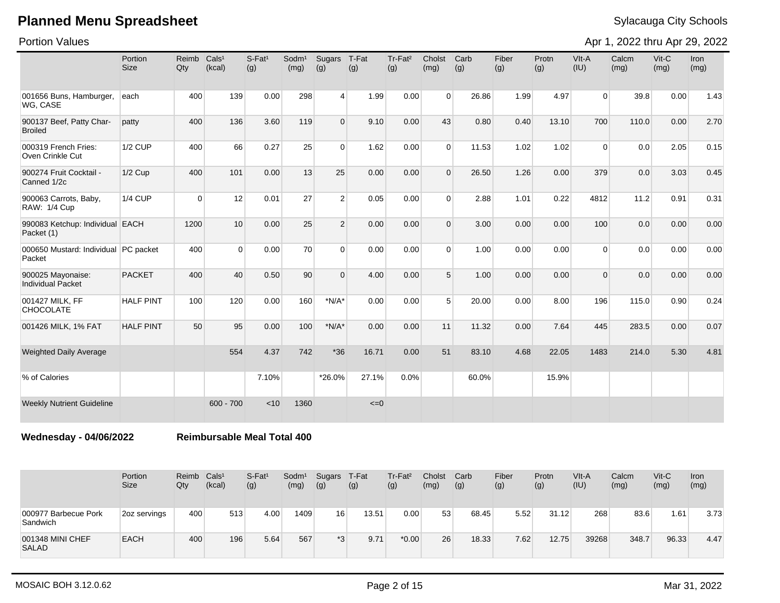Portion Values

Apr 1, 2022 thru Apr 29, 2022

|                                                | Portion<br><b>Size</b> | Reimb<br>Qty | Cals <sup>1</sup><br>(kcal) | $S$ -Fat <sup>1</sup><br>(g) | Sodm <sup>1</sup><br>(mg) | Sugars<br>(g)  | T-Fat<br>(g) | Tr-Fat <sup>2</sup><br>(g) | Cholst<br>(mg) | Carb<br>(g) | Fiber<br>(g) | Protn<br>(g) | VIt-A<br>(IU)  | Calcm<br>(mg) | Vit-C<br>(mg) | <b>Iron</b><br>(mg) |
|------------------------------------------------|------------------------|--------------|-----------------------------|------------------------------|---------------------------|----------------|--------------|----------------------------|----------------|-------------|--------------|--------------|----------------|---------------|---------------|---------------------|
| 001656 Buns, Hamburger,<br>WG, CASE            | each                   | 400          | 139                         | 0.00                         | 298                       | $\vert$        | 1.99         | 0.00                       | $\Omega$       | 26.86       | 1.99         | 4.97         | $\overline{0}$ | 39.8          | 0.00          | 1.43                |
| 900137 Beef, Patty Char-<br><b>Broiled</b>     | patty                  | 400          | 136                         | 3.60                         | 119                       | $\overline{0}$ | 9.10         | 0.00                       | 43             | 0.80        | 0.40         | 13.10        | 700            | 110.0         | 0.00          | 2.70                |
| 000319 French Fries:<br>Oven Crinkle Cut       | <b>1/2 CUP</b>         | 400          | 66                          | 0.27                         | 25                        | $\Omega$       | 1.62         | 0.00                       | $\Omega$       | 11.53       | 1.02         | 1.02         | $\Omega$       | 0.0           | 2.05          | 0.15                |
| 900274 Fruit Cocktail -<br>Canned 1/2c         | $1/2$ Cup              | 400          | 101                         | 0.00                         | 13                        | 25             | 0.00         | 0.00                       | $\Omega$       | 26.50       | 1.26         | 0.00         | 379            | 0.0           | 3.03          | 0.45                |
| 900063 Carrots, Baby,<br>RAW: 1/4 Cup          | 1/4 CUP                | 0            | 12                          | 0.01                         | 27                        | $\overline{2}$ | 0.05         | 0.00                       | $\Omega$       | 2.88        | 1.01         | 0.22         | 4812           | 11.2          | 0.91          | 0.31                |
| 990083 Ketchup: Individual EACH<br>Packet (1)  |                        | 1200         | 10                          | 0.00                         | 25                        | $\overline{2}$ | 0.00         | 0.00                       | $\Omega$       | 3.00        | 0.00         | 0.00         | 100            | 0.0           | 0.00          | 0.00                |
| 000650 Mustard: Individual PC packet<br>Packet |                        | 400          | $\Omega$                    | 0.00                         | 70                        | $\overline{0}$ | 0.00         | 0.00                       | $\Omega$       | 1.00        | 0.00         | 0.00         | $\overline{0}$ | 0.0           | 0.00          | 0.00                |
| 900025 Mayonaise:<br><b>Individual Packet</b>  | <b>PACKET</b>          | 400          | 40                          | 0.50                         | 90                        | $\Omega$       | 4.00         | 0.00                       | 5 <sup>5</sup> | 1.00        | 0.00         | 0.00         | $\overline{0}$ | 0.0           | 0.00          | 0.00                |
| 001427 MILK, FF<br><b>CHOCOLATE</b>            | <b>HALF PINT</b>       | 100          | 120                         | 0.00                         | 160                       | $*N/A*$        | 0.00         | 0.00                       | 5 <sup>5</sup> | 20.00       | 0.00         | 8.00         | 196            | 115.0         | 0.90          | 0.24                |
| 001426 MILK, 1% FAT                            | <b>HALF PINT</b>       | 50           | 95                          | 0.00                         | 100                       | $*N/A*$        | 0.00         | 0.00                       | 11             | 11.32       | 0.00         | 7.64         | 445            | 283.5         | 0.00          | 0.07                |
| <b>Weighted Daily Average</b>                  |                        |              | 554                         | 4.37                         | 742                       | $*36$          | 16.71        | 0.00                       | 51             | 83.10       | 4.68         | 22.05        | 1483           | 214.0         | 5.30          | 4.81                |
| % of Calories                                  |                        |              |                             | 7.10%                        |                           | *26.0%         | 27.1%        | 0.0%                       |                | 60.0%       |              | 15.9%        |                |               |               |                     |
| <b>Weekly Nutrient Guideline</b>               |                        |              | $600 - 700$                 | < 10                         | 1360                      |                | $\leq=0$     |                            |                |             |              |              |                |               |               |                     |

**Wednesday - 04/06/2022 Reimbursable Meal Total 400**

|                                  | Portion<br>Size | Reimb<br>Qty | Cals <sup>1</sup><br>(kcal) | $S-Fat1$<br>(g) | Sodm <sup>1</sup><br>(mg) | Sugars<br>(g) | T-Fat<br>(g) | Tr-Fat <sup>2</sup><br>(g) | Cholst<br>(mg) | Carb<br>(g) | Fiber<br>(g) | Protn<br>(g) | VIt-A<br>(IU) | Calcm<br>(mg) | $V$ it-C<br>(mg) | Iron<br>(mg) |
|----------------------------------|-----------------|--------------|-----------------------------|-----------------|---------------------------|---------------|--------------|----------------------------|----------------|-------------|--------------|--------------|---------------|---------------|------------------|--------------|
| 000977 Barbecue Pork<br>Sandwich | 2oz servings    | 400          | 513                         | 4.00            | 1409                      | 16            | 13.51        | 0.00                       | 53             | 68.45       | 5.52         | 31.12        | 268           | 83.6          | 1.61             | 3.73         |
| 001348 MINI CHEF<br><b>SALAD</b> | <b>EACH</b>     | 400          | 196                         | 5.64            | 567                       | $*3$          | 9.71         | $*0.00$                    | 26             | 18.33       | 7.62         | 12.75        | 39268         | 348.7         | 96.33            | 4.47         |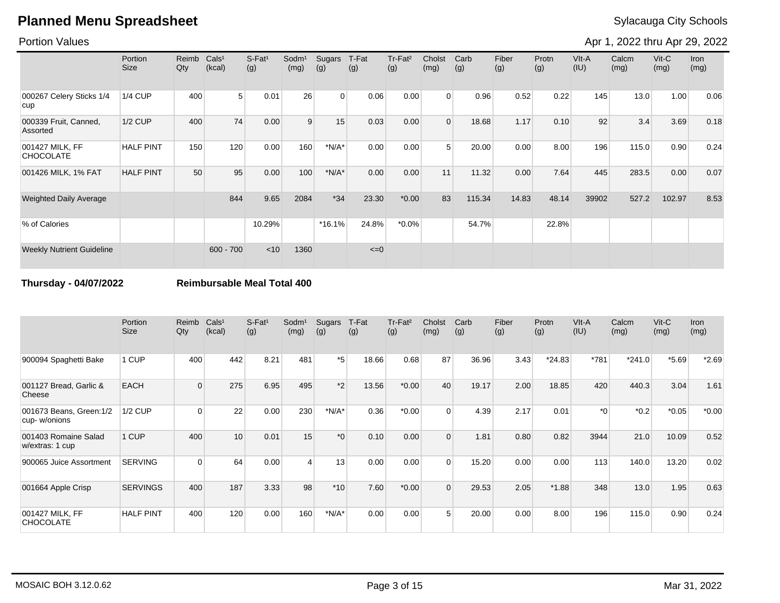### Portion Values

Apr 1, 2022 thru Apr 29, 2022

|                                     | <b>Portion</b><br>Size | Reimb<br>Qty | Cals <sup>1</sup><br>(kcal) | S-Fat <sup>1</sup><br>(g) | Sodm <sup>1</sup><br>(mg) | Sugars<br>(g) | T-Fat<br>(g) | Tr-Fat <sup>2</sup><br>(g) | Cholst<br>(mg) | Carb<br>(g) | Fiber<br>(g) | Protn<br>(g) | VIt-A<br>(IU) | Calcm<br>(mg) | $V$ it-C<br>(mg) | Iron<br>(mg) |
|-------------------------------------|------------------------|--------------|-----------------------------|---------------------------|---------------------------|---------------|--------------|----------------------------|----------------|-------------|--------------|--------------|---------------|---------------|------------------|--------------|
| 000267 Celery Sticks 1/4<br>cup     | <b>1/4 CUP</b>         | 400          | 5                           | 0.01                      | 26                        | $\Omega$      | 0.06         | 0.00                       | $\Omega$       | 0.96        | 0.52         | 0.22         | 145           | 13.0          | 1.00             | 0.06         |
| 000339 Fruit, Canned,<br>Assorted   | 1/2 CUP                | 400          | 74                          | 0.00                      | 9                         | 15            | 0.03         | 0.00                       | $\Omega$       | 18.68       | 1.17         | 0.10         | 92            | 3.4           | 3.69             | 0.18         |
| 001427 MILK, FF<br><b>CHOCOLATE</b> | <b>HALF PINT</b>       | 150          | 120                         | 0.00                      | 160                       | $*N/A*$       | 0.00         | 0.00                       | 5              | 20.00       | 0.00         | 8.00         | 196           | 115.0         | 0.90             | 0.24         |
| 001426 MILK, 1% FAT                 | <b>HALF PINT</b>       | 50           | 95                          | 0.00                      | 100                       | $*N/A*$       | 0.00         | 0.00                       | 11             | 11.32       | 0.00         | 7.64         | 445           | 283.5         | 0.00             | 0.07         |
| <b>Weighted Daily Average</b>       |                        |              | 844                         | 9.65                      | 2084                      | $*34$         | 23.30        | $*0.00$                    | 83             | 115.34      | 14.83        | 48.14        | 39902         | 527.2         | 102.97           | 8.53         |
| % of Calories                       |                        |              |                             | 10.29%                    |                           | $*16.1%$      | 24.8%        | $*0.0\%$                   |                | 54.7%       |              | 22.8%        |               |               |                  |              |
| <b>Weekly Nutrient Guideline</b>    |                        |              | $600 - 700$                 | $<$ 10                    | 1360                      |               | $\leq=0$     |                            |                |             |              |              |               |               |                  |              |

### **Thursday - 04/07/2022 Reimbursable Meal Total 400**

|                                          | Portion<br><b>Size</b> | Reimb<br>Qty | Cals <sup>1</sup><br>(kcal) | $S-Fat1$<br>(g) | Sodm <sup>1</sup><br>(mg) | Sugars<br>(g)    | T-Fat<br>(g) | Tr-Fat <sup>2</sup><br>(g) | Cholst<br>(mg) | Carb<br>(g) | Fiber<br>(g) | Protn<br>(g) | $V$ lt-A<br>(IU) | Calcm<br>(mg) | $V$ it-C<br>(mg) | Iron<br>(mg) |
|------------------------------------------|------------------------|--------------|-----------------------------|-----------------|---------------------------|------------------|--------------|----------------------------|----------------|-------------|--------------|--------------|------------------|---------------|------------------|--------------|
| 900094 Spaghetti Bake                    | 1 CUP                  | 400          | 442                         | 8.21            | 481                       | *5               | 18.66        | 0.68                       | 87             | 36.96       | 3.43         | $*24.83$     | *781             | $*241.0$      | $*5.69$          | $*2.69$      |
| 001127 Bread, Garlic &<br>Cheese         | <b>EACH</b>            | $\Omega$     | 275                         | 6.95            | 495                       | $*2$             | 13.56        | $*0.00$                    | 40             | 19.17       | 2.00         | 18.85        | 420              | 440.3         | 3.04             | 1.61         |
| 001673 Beans, Green: 1/2<br>cup-w/onions | 1/2 CUP                | $\Omega$     | 22                          | 0.00            | 230                       | $*N/A*$          | 0.36         | $*0.00$                    | $\Omega$       | 4.39        | 2.17         | 0.01         | $*$ $\Omega^*$   | $*0.2$        | $*0.05$          | $*0.00*$     |
| 001403 Romaine Salad<br>w/extras: 1 cup  | 1 CUP                  | 400          | 10                          | 0.01            | 15                        | $*$ <sup>0</sup> | 0.10         | 0.00                       | $\Omega$       | 1.81        | 0.80         | 0.82         | 3944             | 21.0          | 10.09            | 0.52         |
| 900065 Juice Assortment                  | <b>SERVING</b>         | $\Omega$     | 64                          | 0.00            | 4                         | 13               | 0.00         | 0.00                       | $\Omega$       | 15.20       | 0.00         | 0.00         | 113              | 140.0         | 13.20            | 0.02         |
| 001664 Apple Crisp                       | <b>SERVINGS</b>        | 400          | 187                         | 3.33            | 98                        | $*10$            | 7.60         | $*0.00$                    | $\Omega$       | 29.53       | 2.05         | $*1.88$      | 348              | 13.0          | 1.95             | 0.63         |
| 001427 MILK, FF<br><b>CHOCOLATE</b>      | <b>HALF PINT</b>       | 400          | 120                         | 0.00            | 160                       | $*N/A*$          | 0.00         | 0.00                       | 5              | 20.00       | 0.00         | 8.00         | 196              | 115.0         | 0.90             | 0.24         |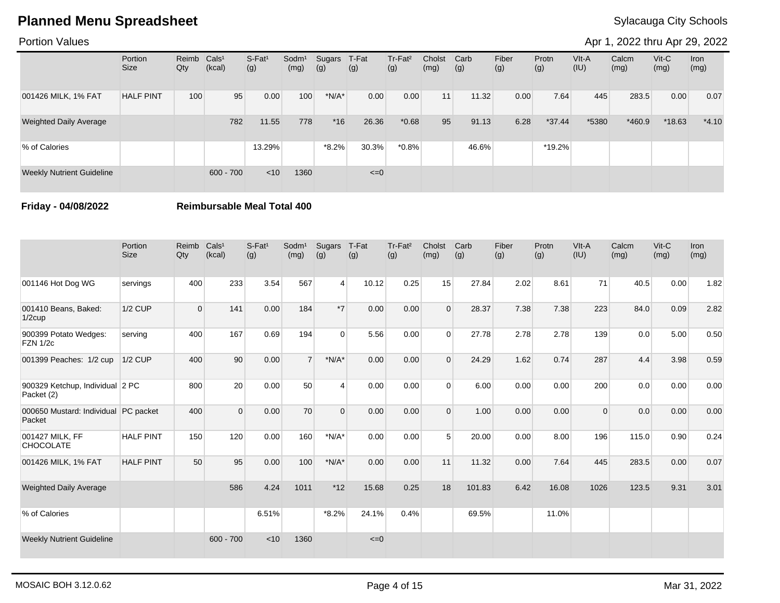### Portion Values

Apr 1, 2022 thru Apr 29, 2022

|                                  | Portion<br><b>Size</b> | Reimb<br>Qty | Cals <sup>1</sup><br>(kcal) | S-Fat <sup>1</sup><br>(g) | Sodm <sup>1</sup><br>(mg) | Sugars<br>(g) | T-Fat<br>(g) | Tr-Fat <sup>2</sup><br>(g) | Cholst<br>(mg)  | Carb<br>(g) | Fiber<br>(g) | Protn<br>(g) | VIt-A<br>(IU) | Calcm<br>(mg) | $V$ it-C<br>(mg) | Iron<br>(mg) |
|----------------------------------|------------------------|--------------|-----------------------------|---------------------------|---------------------------|---------------|--------------|----------------------------|-----------------|-------------|--------------|--------------|---------------|---------------|------------------|--------------|
| 001426 MILK, 1% FAT              | <b>HALF PINT</b>       | 100          | 95                          | 0.00                      | 100                       | $*N/A*$       | 0.00         | 0.00                       | 11 <sub>h</sub> | 11.32       | 0.00         | 7.64         | 445           | 283.5         | 0.00             | 0.07         |
| <b>Weighted Daily Average</b>    |                        |              | 782                         | 11.55                     | 778                       | $*16$         | 26.36        | $*0.68$                    | 95              | 91.13       | 6.28         | $*37.44$     | *5380         | $*460.9$      | $*18.63$         | $*4.10$      |
| % of Calories                    |                        |              |                             | 13.29%                    |                           | $*8.2%$       | 30.3%        | $*0.8\%$                   |                 | 46.6%       |              | *19.2%       |               |               |                  |              |
| <b>Weekly Nutrient Guideline</b> |                        |              | $600 - 700$                 | $<$ 10                    | 1360                      |               | $\leq=0$     |                            |                 |             |              |              |               |               |                  |              |

**Friday - 04/08/2022 Reimbursable Meal Total 400**

|                                                | Portion<br><b>Size</b> | Reimb<br>Qty | Cals <sup>1</sup><br>(kcal) | $S-Fat1$<br>(g) | Sodm <sup>1</sup><br>(mg) | Sugars<br>(g)  | T-Fat<br>(g) | Tr-Fat <sup>2</sup><br>(g) | Cholst<br>(mg) | Carb<br>(g) | Fiber<br>(g) | Protn<br>(g) | VIt-A<br>(IU) | Calcm<br>(mg) | Vit-C<br>(mg) | Iron<br>(mg) |
|------------------------------------------------|------------------------|--------------|-----------------------------|-----------------|---------------------------|----------------|--------------|----------------------------|----------------|-------------|--------------|--------------|---------------|---------------|---------------|--------------|
| 001146 Hot Dog WG                              | servings               | 400          | 233                         | 3.54            | 567                       | $\overline{4}$ | 10.12        | 0.25                       | 15             | 27.84       | 2.02         | 8.61         | 71            | 40.5          | 0.00          | 1.82         |
| 001410 Beans, Baked:<br>$1/2$ cup              | <b>1/2 CUP</b>         | $\mathbf 0$  | 141                         | 0.00            | 184                       | $*7$           | 0.00         | 0.00                       | $\Omega$       | 28.37       | 7.38         | 7.38         | 223           | 84.0          | 0.09          | 2.82         |
| 900399 Potato Wedges:<br><b>FZN 1/2c</b>       | serving                | 400          | 167                         | 0.69            | 194                       | $\Omega$       | 5.56         | 0.00                       | $\Omega$       | 27.78       | 2.78         | 2.78         | 139           | 0.0           | 5.00          | 0.50         |
| 001399 Peaches: 1/2 cup                        | 1/2 CUP                | 400          | 90                          | 0.00            | $\overline{7}$            | $*N/A*$        | 0.00         | 0.00                       | $\Omega$       | 24.29       | 1.62         | 0.74         | 287           | 4.4           | 3.98          | 0.59         |
| 900329 Ketchup, Individual 2 PC<br>Packet (2)  |                        | 800          | 20                          | 0.00            | 50                        | $\overline{4}$ | 0.00         | 0.00                       | $\Omega$       | 6.00        | 0.00         | 0.00         | 200           | 0.0           | 0.00          | 0.00         |
| 000650 Mustard: Individual PC packet<br>Packet |                        | 400          | $\overline{0}$              | 0.00            | 70                        | $\Omega$       | 0.00         | 0.00                       | $\overline{0}$ | 1.00        | 0.00         | 0.00         | $\Omega$      | 0.0           | 0.00          | 0.00         |
| 001427 MILK, FF<br><b>CHOCOLATE</b>            | <b>HALF PINT</b>       | 150          | 120                         | 0.00            | 160                       | $*N/A*$        | 0.00         | 0.00                       | 5              | 20.00       | 0.00         | 8.00         | 196           | 115.0         | 0.90          | 0.24         |
| 001426 MILK, 1% FAT                            | <b>HALF PINT</b>       | 50           | 95                          | 0.00            | 100                       | $*N/A*$        | 0.00         | 0.00                       | 11             | 11.32       | 0.00         | 7.64         | 445           | 283.5         | 0.00          | 0.07         |
| <b>Weighted Daily Average</b>                  |                        |              | 586                         | 4.24            | 1011                      | $*12$          | 15.68        | 0.25                       | 18             | 101.83      | 6.42         | 16.08        | 1026          | 123.5         | 9.31          | 3.01         |
| % of Calories                                  |                        |              |                             | 6.51%           |                           | $*8.2%$        | 24.1%        | 0.4%                       |                | 69.5%       |              | 11.0%        |               |               |               |              |
| <b>Weekly Nutrient Guideline</b>               |                        |              | $600 - 700$                 | < 10            | 1360                      |                | $\leq=0$     |                            |                |             |              |              |               |               |               |              |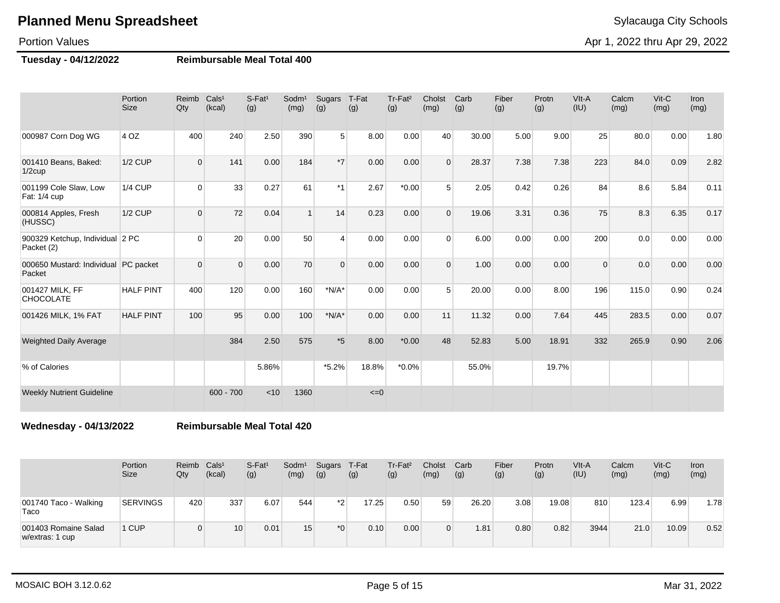### Portion Values

Apr 1, 2022 thru Apr 29, 2022

### **Tuesday - 04/12/2022 Reimbursable Meal Total 400**

|                                                | Portion<br><b>Size</b> | Reimb<br>Qty   | Cals <sup>1</sup><br>(kcal) | $S$ -Fat <sup>1</sup><br>(g) | Sodm <sup>1</sup><br>(mg) | Sugars<br>(g)  | T-Fat<br>(g) | Tr-Fat <sup>2</sup><br>(g) | Cholst<br>(mg) | Carb<br>(g) | Fiber<br>(g) | Protn<br>(g) | VIt-A<br>(IU) | Calcm<br>(mg) | $V$ it-C<br>(mg) | <b>Iron</b><br>(mg) |
|------------------------------------------------|------------------------|----------------|-----------------------------|------------------------------|---------------------------|----------------|--------------|----------------------------|----------------|-------------|--------------|--------------|---------------|---------------|------------------|---------------------|
| 000987 Corn Dog WG                             | 4 OZ                   | 400            | 240                         | 2.50                         | 390                       | 5 <sup>1</sup> | 8.00         | 0.00                       | 40             | 30.00       | 5.00         | 9.00         | 25            | 80.0          | 0.00             | 1.80                |
| 001410 Beans, Baked:<br>$1/2$ cup              | <b>1/2 CUP</b>         | $\Omega$       | 141                         | 0.00                         | 184                       | $*7$           | 0.00         | 0.00                       | $\Omega$       | 28.37       | 7.38         | 7.38         | 223           | 84.0          | 0.09             | 2.82                |
| 001199 Cole Slaw, Low<br>Fat: 1/4 cup          | <b>1/4 CUP</b>         | $\Omega$       | 33                          | 0.27                         | 61                        | $*1$           | 2.67         | $*0.00$                    | 5              | 2.05        | 0.42         | 0.26         | 84            | 8.6           | 5.84             | 0.11                |
| 000814 Apples, Fresh<br>(HUSSC)                | <b>1/2 CUP</b>         | $\Omega$       | 72                          | 0.04                         | $\overline{ }$            | 14             | 0.23         | 0.00                       | $\Omega$       | 19.06       | 3.31         | 0.36         | 75            | 8.3           | 6.35             | 0.17                |
| 900329 Ketchup, Individual 2 PC<br>Packet (2)  |                        | $\Omega$       | 20 <sup>1</sup>             | 0.00                         | 50                        | $\overline{4}$ | 0.00         | 0.00                       | $\Omega$       | 6.00        | 0.00         | 0.00         | 200           | 0.0           | 0.00             | 0.00                |
| 000650 Mustard: Individual PC packet<br>Packet |                        | $\overline{0}$ | $\Omega$                    | 0.00                         | 70                        | $\Omega$       | 0.00         | 0.00                       | $\Omega$       | 1.00        | 0.00         | 0.00         | $\mathbf{0}$  | 0.0           | 0.00             | 0.00                |
| 001427 MILK, FF<br><b>CHOCOLATE</b>            | <b>HALF PINT</b>       | 400            | 120                         | 0.00                         | 160                       | $*N/A*$        | 0.00         | 0.00                       | 5              | 20.00       | 0.00         | 8.00         | 196           | 115.0         | 0.90             | 0.24                |
| 001426 MILK, 1% FAT                            | <b>HALF PINT</b>       | 100            | 95                          | 0.00                         | 100                       | $*N/A*$        | 0.00         | 0.00                       | 11             | 11.32       | 0.00         | 7.64         | 445           | 283.5         | 0.00             | 0.07                |
| <b>Weighted Daily Average</b>                  |                        |                | 384                         | 2.50                         | 575                       | $*5$           | 8.00         | $*0.00$                    | 48             | 52.83       | 5.00         | 18.91        | 332           | 265.9         | 0.90             | 2.06                |
| % of Calories                                  |                        |                |                             | 5.86%                        |                           | $*5.2%$        | 18.8%        | $*0.0\%$                   |                | 55.0%       |              | 19.7%        |               |               |                  |                     |
| <b>Weekly Nutrient Guideline</b>               |                        |                | $600 - 700$                 | < 10                         | 1360                      |                | $\leq=0$     |                            |                |             |              |              |               |               |                  |                     |

**Wednesday - 04/13/2022 Reimbursable Meal Total 420**

|                                         | Portion<br>Size | Reimb<br>Qty | Cals <sup>1</sup><br>(kcal) | $S-Fat1$<br>(g) | Sodm <sup>1</sup><br>(mg) | Sugars<br>(g) | T-Fat<br>(g) | Tr-Fat <sup>2</sup><br>(g) | Cholst<br>(mg) | Carb<br>(g) | Fiber<br>(g) | Protn<br>(g) | VIt-A<br>(IU) | Calcm<br>(mg) | $V$ it-C<br>(mg) | Iron<br>(mg) |
|-----------------------------------------|-----------------|--------------|-----------------------------|-----------------|---------------------------|---------------|--------------|----------------------------|----------------|-------------|--------------|--------------|---------------|---------------|------------------|--------------|
| 001740 Taco - Walking<br>Taco           | <b>SERVINGS</b> | 420          | 337                         | 6.07            | 544                       | $*2$          | 17.25        | 0.50                       | 59             | 26.20       | 3.08         | 19.08        | 810           | 123.4         | 6.99             | 1.78         |
| 001403 Romaine Salad<br>w/extras: 1 cup | 1 CUP           |              | 10                          | 0.01            | 15                        | $*_{0}$       | 0.10         | 0.00                       |                | . 81        | 0.80         | 0.82         | 3944          | 21.0          | 10.09            | 0.52         |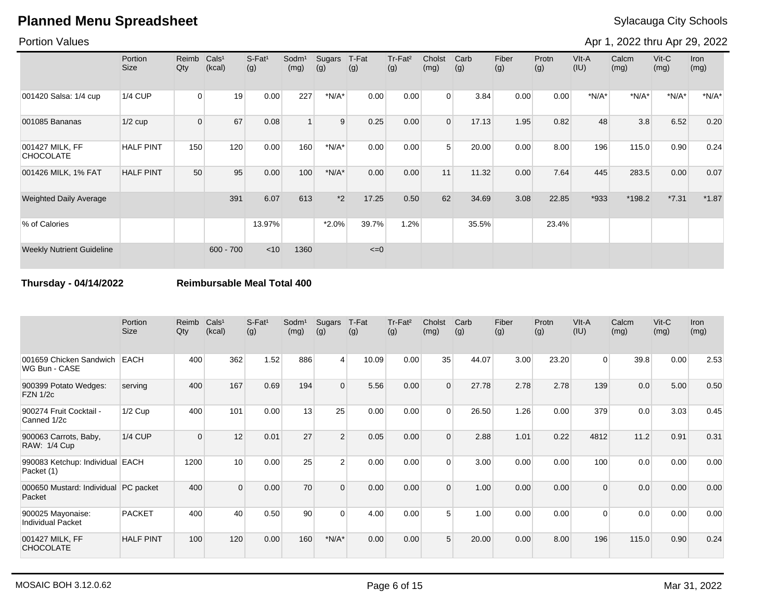### Portion Values

Apr 1, 2022 thru Apr 29, 2022

|                                     | Portion<br><b>Size</b> | Reimb<br>Qty | CalS <sup>1</sup><br>(kcal) | S-Fat <sup>1</sup><br>(g) | Sodm <sup>1</sup><br>(mg) | Sugars<br>(g) | T-Fat<br>(g) | Tr-Fat <sup>2</sup><br>(g) | Cholst<br>(mg) | Carb<br>(g) | Fiber<br>(g) | Protn<br>(g) | VIt-A<br>(IU) | Calcm<br>(mg) | $V$ it-C<br>(mg) | <b>Iron</b><br>(mg) |
|-------------------------------------|------------------------|--------------|-----------------------------|---------------------------|---------------------------|---------------|--------------|----------------------------|----------------|-------------|--------------|--------------|---------------|---------------|------------------|---------------------|
| 001420 Salsa: 1/4 cup               | <b>1/4 CUP</b>         | 0            | 19                          | 0.00                      | 227                       | $*N/A*$       | 0.00         | 0.00                       | $\Omega$       | 3.84        | 0.00         | 0.00         | $*N/A*$       | $*N/A*$       | $*N/A*$          | $*N/A*$             |
| 001085 Bananas                      | $1/2$ cup              | 0            | 67                          | 0.08                      |                           | 9             | 0.25         | 0.00                       | $\overline{0}$ | 17.13       | 1.95         | 0.82         | 48            | 3.8           | 6.52             | 0.20                |
| 001427 MILK, FF<br><b>CHOCOLATE</b> | <b>HALF PINT</b>       | 150          | 120                         | 0.00                      | 160                       | $*N/A*$       | 0.00         | 0.00                       | 5              | 20.00       | 0.00         | 8.00         | 196           | 115.0         | 0.90             | 0.24                |
| 001426 MILK, 1% FAT                 | <b>HALF PINT</b>       | 50           | 95                          | 0.00                      | 100                       | $*N/A*$       | 0.00         | 0.00                       | 11             | 11.32       | 0.00         | 7.64         | 445           | 283.5         | 0.00             | 0.07                |
| Weighted Daily Average              |                        |              | 391                         | 6.07                      | 613                       | $*2$          | 17.25        | 0.50                       | 62             | 34.69       | 3.08         | 22.85        | *933          | *198.2        | $*7.31$          | $*1.87$             |
| % of Calories                       |                        |              |                             | 13.97%                    |                           | $*2.0\%$      | 39.7%        | 1.2%                       |                | 35.5%       |              | 23.4%        |               |               |                  |                     |
| <b>Weekly Nutrient Guideline</b>    |                        |              | $600 - 700$                 | < 10                      | 1360                      |               | $\leq=0$     |                            |                |             |              |              |               |               |                  |                     |

**Thursday - 04/14/2022 Reimbursable Meal Total 400**

|                                                | Portion<br><b>Size</b> | Reimb<br>Qty | Cals <sup>1</sup><br>(kcal) | $S-Fat1$<br>(g) | Sodm <sup>1</sup><br>(mg) | Sugars<br>(g)  | T-Fat<br>(g) | Tr-Fat <sup>2</sup><br>(g) | Cholst<br>(mg) | Carb<br>(g) | Fiber<br>(g) | Protn<br>(g) | VIt-A<br>(IU) | Calcm<br>(mg) | $V$ it-C<br>(mg) | Iron<br>(mg) |
|------------------------------------------------|------------------------|--------------|-----------------------------|-----------------|---------------------------|----------------|--------------|----------------------------|----------------|-------------|--------------|--------------|---------------|---------------|------------------|--------------|
| 001659 Chicken Sandwich<br>WG Bun - CASE       | <b>EACH</b>            | 400          | 362                         | 1.52            | 886                       | $\overline{4}$ | 10.09        | 0.00                       | 35             | 44.07       | 3.00         | 23.20        | $\Omega$      | 39.8          | 0.00             | 2.53         |
| 900399 Potato Wedges:<br><b>FZN 1/2c</b>       | serving                | 400          | 167                         | 0.69            | 194                       | $\Omega$       | 5.56         | 0.00                       | $\Omega$       | 27.78       | 2.78         | 2.78         | 139           | 0.0           | 5.00             | 0.50         |
| 900274 Fruit Cocktail -<br>Canned 1/2c         | $1/2$ Cup              | 400          | 101                         | 0.00            | 13                        | 25             | 0.00         | 0.00                       | $\Omega$       | 26.50       | 1.26         | 0.00         | 379           | 0.0           | 3.03             | 0.45         |
| 900063 Carrots, Baby,<br>RAW: 1/4 Cup          | <b>1/4 CUP</b>         | $\Omega$     | 12                          | 0.01            | 27                        | 2              | 0.05         | 0.00                       | $\Omega$       | 2.88        | 1.01         | 0.22         | 4812          | 11.2          | 0.91             | 0.31         |
| 990083 Ketchup: Individual EACH<br>Packet (1)  |                        | 1200         | 10                          | 0.00            | 25                        | 2              | 0.00         | 0.00                       | $\Omega$       | 3.00        | 0.00         | 0.00         | 100           | 0.0           | 0.00             | 0.00         |
| 000650 Mustard: Individual PC packet<br>Packet |                        | 400          | $\Omega$                    | 0.00            | 70                        | $\Omega$       | 0.00         | 0.00                       | $\Omega$       | 1.00        | 0.00         | 0.00         | $\Omega$      | 0.0           | 0.00             | 0.00         |
| 900025 Mayonaise:<br><b>Individual Packet</b>  | <b>PACKET</b>          | 400          | 40                          | 0.50            | 90                        | $\Omega$       | 4.00         | 0.00                       | 5              | 1.00        | 0.00         | 0.00         | $\Omega$      | 0.0           | 0.00             | 0.00         |
| 001427 MILK, FF<br><b>CHOCOLATE</b>            | <b>HALF PINT</b>       | 100          | 120                         | 0.00            | 160                       | $*N/A*$        | 0.00         | 0.00                       | 5              | 20.00       | 0.00         | 8.00         | 196           | 115.0         | 0.90             | 0.24         |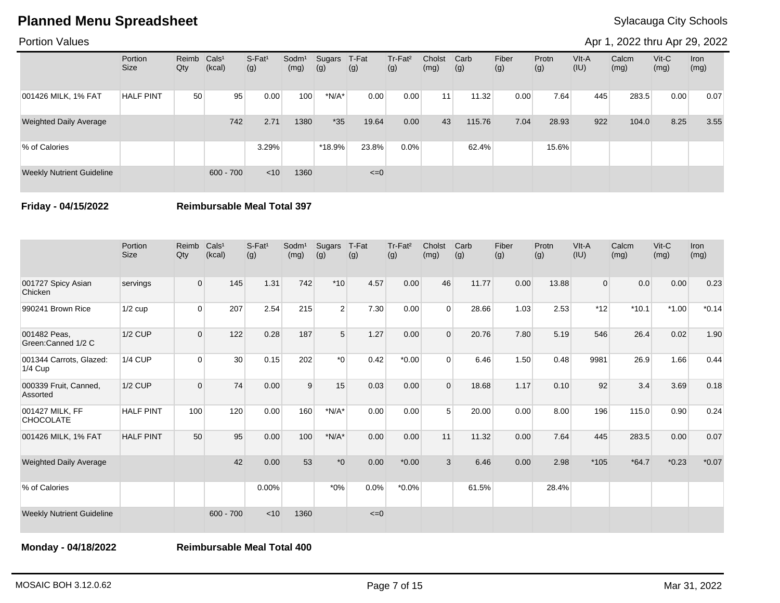### Portion Values

Apr 1, 2022 thru Apr 29, 2022

|                                  | Portion<br><b>Size</b> | Reimb Cals <sup>1</sup><br>Qty | (kcal)      | $S-Fat1$<br>(g) | Sodm <sup>1</sup><br>(mg) | Sugars<br>(g) | T-Fat<br>(g) | Tr-Fat <sup>2</sup><br>(g) | Cholst<br>(mg) | Carb<br>(g) | Fiber<br>(g) | Protn<br>(g) | VIt-A<br>(IU) | Calcm<br>(mg) | $V$ it-C<br>(mg) | Iron<br>(mg) |
|----------------------------------|------------------------|--------------------------------|-------------|-----------------|---------------------------|---------------|--------------|----------------------------|----------------|-------------|--------------|--------------|---------------|---------------|------------------|--------------|
| 001426 MILK, 1% FAT              | <b>HALF PINT</b>       | 50                             | 95          | 0.00            | 100                       | $*N/A*$       | 0.00         | 0.00                       | 11             | 11.32       | 0.00         | 7.64         | 445           | 283.5         | 0.00             | 0.07         |
| <b>Weighted Daily Average</b>    |                        |                                | 742         | 2.71            | 1380                      | $*35$         | 19.64        | 0.00                       | 43             | 115.76      | 7.04         | 28.93        | 922           | 104.0         | 8.25             | 3.55         |
| % of Calories                    |                        |                                |             | 3.29%           |                           | *18.9%        | 23.8%        | 0.0%                       |                | 62.4%       |              | 15.6%        |               |               |                  |              |
| <b>Weekly Nutrient Guideline</b> |                        |                                | $600 - 700$ | < 10            | 1360                      |               | $\leq=0$     |                            |                |             |              |              |               |               |                  |              |

**Friday - 04/15/2022 Reimbursable Meal Total 397**

|                                      | Portion<br><b>Size</b> | Reimb<br>Qty   | Cals <sup>1</sup><br>(kcal) | S-Fat <sup>1</sup><br>(g) | Sodm <sup>1</sup><br>(mg) | Sugars<br>(g)  | T-Fat<br>(g) | Tr-Fat <sup>2</sup><br>(g) | Cholst<br>(mg) | Carb<br>(g) | Fiber<br>(g) | Protn<br>(g) | VIt-A<br>(IU)  | Calcm<br>(mg) | $Vit-C$<br>(mg) | Iron<br>(mg) |
|--------------------------------------|------------------------|----------------|-----------------------------|---------------------------|---------------------------|----------------|--------------|----------------------------|----------------|-------------|--------------|--------------|----------------|---------------|-----------------|--------------|
| 001727 Spicy Asian<br>Chicken        | servings               | $\overline{0}$ | 145                         | 1.31                      | 742                       | $*10$          | 4.57         | 0.00                       | 46             | 11.77       | 0.00         | 13.88        | $\overline{0}$ | 0.0           | 0.00            | 0.23         |
| 990241 Brown Rice                    | $1/2$ cup              | $\Omega$       | 207                         | 2.54                      | 215                       | $\overline{2}$ | 7.30         | 0.00                       | $\Omega$       | 28.66       | 1.03         | 2.53         | $*12$          | $*10.1$       | $*1.00$         | $*0.14$      |
| 001482 Peas,<br>Green:Canned 1/2 C   | $1/2$ CUP              | $\overline{0}$ | 122                         | 0.28                      | 187                       | 5              | 1.27         | 0.00                       | $\Omega$       | 20.76       | 7.80         | 5.19         | 546            | 26.4          | 0.02            | 1.90         |
| 001344 Carrots, Glazed:<br>$1/4$ Cup | <b>1/4 CUP</b>         | $\Omega$       | 30 <sup>°</sup>             | 0.15                      | 202                       | $*_{0}$        | 0.42         | $*0.00$                    | $\Omega$       | 6.46        | 1.50         | 0.48         | 9981           | 26.9          | 1.66            | 0.44         |
| 000339 Fruit, Canned,<br>Assorted    | $1/2$ CUP              | $\overline{0}$ | 74                          | 0.00                      | 9                         | 15             | 0.03         | 0.00                       | $\Omega$       | 18.68       | 1.17         | 0.10         | 92             | 3.4           | 3.69            | 0.18         |
| 001427 MILK, FF<br><b>CHOCOLATE</b>  | <b>HALF PINT</b>       | 100            | 120                         | 0.00                      | 160                       | $*N/A*$        | 0.00         | 0.00                       | 5              | 20.00       | 0.00         | 8.00         | 196            | 115.0         | 0.90            | 0.24         |
| 001426 MILK, 1% FAT                  | <b>HALF PINT</b>       | 50             | 95                          | 0.00                      | 100                       | $*N/A*$        | 0.00         | 0.00                       | 11             | 11.32       | 0.00         | 7.64         | 445            | 283.5         | 0.00            | 0.07         |
| <b>Weighted Daily Average</b>        |                        |                | 42                          | 0.00                      | 53                        | $*0$           | 0.00         | $*0.00$                    | 3              | 6.46        | 0.00         | 2.98         | $*105$         | $*64.7$       | $*0.23$         | $*0.07$      |
| % of Calories                        |                        |                |                             | 0.00%                     |                           | $*0\%$         | 0.0%         | $*0.0\%$                   |                | 61.5%       |              | 28.4%        |                |               |                 |              |
| <b>Weekly Nutrient Guideline</b>     |                        |                | $600 - 700$                 | < 10                      | 1360                      |                | $\leq=0$     |                            |                |             |              |              |                |               |                 |              |

**Monday - 04/18/2022 Reimbursable Meal Total 400**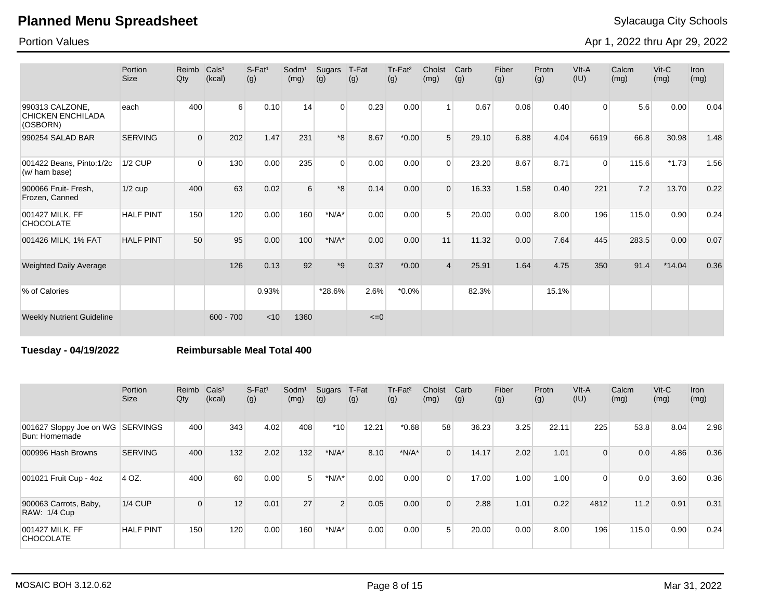Portion Values

Apr 1, 2022 thru Apr 29, 2022

|                                                         | Portion<br><b>Size</b> | Reimb<br>Qty   | Cals <sup>1</sup><br>(kcal) | S-Fat <sup>1</sup><br>(g) | Sodm <sup>1</sup><br>(mg) | Sugars<br>(g)  | T-Fat<br>(g) | Tr-Fat <sup>2</sup><br>(g) | Cholst<br>(mg)  | Carb<br>(g) | Fiber<br>(g) | Protn<br>(g) | VIt-A<br>(IU)  | Calcm<br>(mg) | $V$ it-C<br>(mg) | Iron<br>(mg) |
|---------------------------------------------------------|------------------------|----------------|-----------------------------|---------------------------|---------------------------|----------------|--------------|----------------------------|-----------------|-------------|--------------|--------------|----------------|---------------|------------------|--------------|
| 990313 CALZONE,<br><b>CHICKEN ENCHILADA</b><br>(OSBORN) | each                   | 400            | 6                           | 0.10                      | 14                        | $\overline{0}$ | 0.23         | 0.00                       |                 | 0.67        | 0.06         | 0.40         | $\overline{0}$ | 5.6           | 0.00             | 0.04         |
| 990254 SALAD BAR                                        | <b>SERVING</b>         | $\overline{0}$ | 202                         | 1.47                      | 231                       | *8             | 8.67         | $*0.00*$                   | $5\overline{5}$ | 29.10       | 6.88         | 4.04         | 6619           | 66.8          | 30.98            | 1.48         |
| 001422 Beans, Pinto:1/2c<br>(w/ ham base)               | <b>1/2 CUP</b>         | $\Omega$       | 130                         | 0.00                      | 235                       | $\Omega$       | 0.00         | 0.00                       | $\Omega$        | 23.20       | 8.67         | 8.71         | $\Omega$       | 115.6         | $*1.73$          | 1.56         |
| 900066 Fruit- Fresh.<br>Frozen, Canned                  | $1/2$ cup              | 400            | 63                          | 0.02                      | 6                         | *8             | 0.14         | 0.00                       | $\Omega$        | 16.33       | 1.58         | 0.40         | 221            | 7.2           | 13.70            | 0.22         |
| 001427 MILK, FF<br><b>CHOCOLATE</b>                     | <b>HALF PINT</b>       | 150            | 120                         | 0.00                      | 160                       | $*N/A*$        | 0.00         | 0.00                       | 5               | 20.00       | 0.00         | 8.00         | 196            | 115.0         | 0.90             | 0.24         |
| 001426 MILK, 1% FAT                                     | <b>HALF PINT</b>       | 50             | 95                          | 0.00                      | 100                       | $*N/A*$        | 0.00         | 0.00                       | 11              | 11.32       | 0.00         | 7.64         | 445            | 283.5         | 0.00             | 0.07         |
| <b>Weighted Daily Average</b>                           |                        |                | 126                         | 0.13                      | 92                        | $*9$           | 0.37         | $*0.00$                    | $\overline{4}$  | 25.91       | 1.64         | 4.75         | 350            | 91.4          | $*14.04$         | 0.36         |
| % of Calories                                           |                        |                |                             | 0.93%                     |                           | *28.6%         | 2.6%         | $*0.0\%$                   |                 | 82.3%       |              | 15.1%        |                |               |                  |              |
| <b>Weekly Nutrient Guideline</b>                        |                        |                | $600 - 700$                 | < 10                      | 1360                      |                | $\leq=0$     |                            |                 |             |              |              |                |               |                  |              |

### **Tuesday - 04/19/2022 Reimbursable Meal Total 400**

|                                                   | Portion<br>Size  | Reimb<br>Qty | Cals <sup>1</sup><br>(kcal) | $S$ -Fat <sup>1</sup><br>(g) | Sodm <sup>1</sup><br>(mg) | Sugars<br>(g)  | T-Fat<br>(g) | Tr-Fat <sup>2</sup><br>(g) | Cholst<br>(mg) | Carb<br>(g) | Fiber<br>(g) | Protn<br>(g) | VIt-A<br>(IU) | Calcm<br>(mg) | $V$ it-C<br>(mg) | Iron<br>(mg) |
|---------------------------------------------------|------------------|--------------|-----------------------------|------------------------------|---------------------------|----------------|--------------|----------------------------|----------------|-------------|--------------|--------------|---------------|---------------|------------------|--------------|
| 001627 Sloppy Joe on WG SERVINGS<br>Bun: Homemade |                  | 400          | 343                         | 4.02                         | 408                       | $*10$          | 12.21        | $*0.68$                    | 58             | 36.23       | 3.25         | 22.11        | 225           | 53.8          | 8.04             | 2.98         |
| 000996 Hash Browns                                | <b>SERVING</b>   | 400          | 132                         | 2.02                         | 132                       | $*N/A*$        | 8.10         | $*N/A*$                    | $\Omega$       | 14.17       | 2.02         | 1.01         | $\Omega$      | 0.0           | 4.86             | 0.36         |
| 001021 Fruit Cup - 4oz                            | 4 OZ.            | 400          | 60                          | 0.00                         | 5 <sup>1</sup>            | $*N/A*$        | 0.00         | 0.00                       | $\Omega$       | 17.00       | 1.00         | 1.00         | $\Omega$      | 0.0           | 3.60             | 0.36         |
| 900063 Carrots, Baby,<br><b>RAW: 1/4 Cup</b>      | $1/4$ CUP        | $\Omega$     | 12                          | 0.01                         | 27                        | $\overline{2}$ | 0.05         | 0.00                       | $\Omega$       | 2.88        | 1.01         | 0.22         | 4812          | 11.2          | 0.91             | 0.31         |
| 001427 MILK, FF<br><b>CHOCOLATE</b>               | <b>HALF PINT</b> | 150          | 120                         | 0.00                         | 160                       | $*N/A*$        | 0.00         | 0.00                       | $5^{\circ}$    | 20.00       | 0.00         | 8.00         | 196           | 115.0         | 0.90             | 0.24         |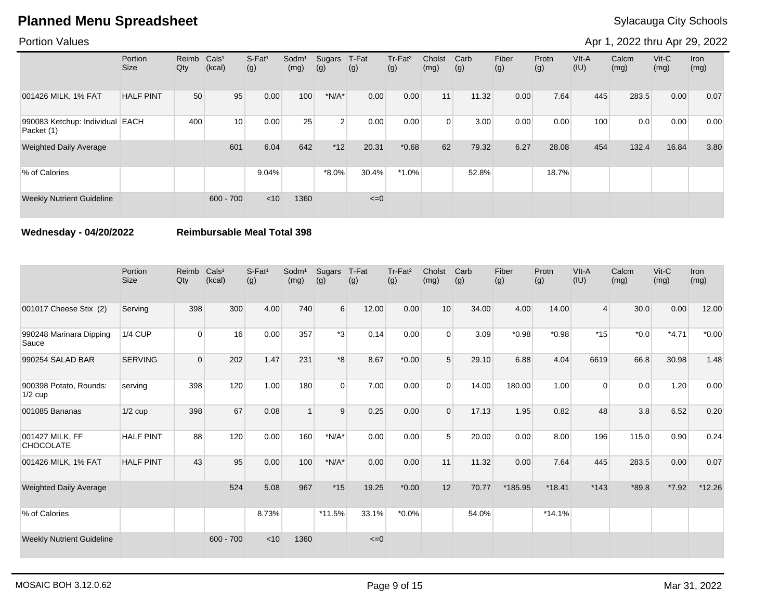Portion Values

Apr 1, 2022 thru Apr 29, 2022

|                                               | Portion<br>Size  | Reimb<br>Qty | Cals <sup>1</sup><br>(kcal) | $S-Fat1$<br>(g) | Sodm <sup>1</sup><br>(mg) | Sugars<br>(g)  | T-Fat<br>(g) | Tr-Fat <sup>2</sup><br>(g) | Cholst<br>(mg) | Carb<br>(g) | Fiber<br>(g) | Protn<br>(g) | $V$ lt-A<br>(IU) | Calcm<br>(mg) | $V$ it-C<br>(mg) | Iron<br>(mg) |
|-----------------------------------------------|------------------|--------------|-----------------------------|-----------------|---------------------------|----------------|--------------|----------------------------|----------------|-------------|--------------|--------------|------------------|---------------|------------------|--------------|
| 001426 MILK, 1% FAT                           | <b>HALF PINT</b> | 50           | 95                          | 0.00            | 100                       | $*N/A*$        | 0.00         | 0.00                       | 11             | 11.32       | 0.00         | 7.64         | 445              | 283.5         | 0.00             | 0.07         |
| 990083 Ketchup: Individual EACH<br>Packet (1) |                  | 400          | 10                          | 0.00            | 25                        | 2 <sup>1</sup> | 0.00         | 0.00                       | $\Omega$       | 3.00        | 0.00         | 0.00         | 100              | 0.0           | 0.00             | 0.00         |
| <b>Weighted Daily Average</b>                 |                  |              | 601                         | 6.04            | 642                       | $*12$          | 20.31        | $*0.68$                    | 62             | 79.32       | 6.27         | 28.08        | 454              | 132.4         | 16.84            | 3.80         |
| % of Calories                                 |                  |              |                             | 9.04%           |                           | $*8.0\%$       | 30.4%        | $*1.0\%$                   |                | 52.8%       |              | 18.7%        |                  |               |                  |              |
| <b>Weekly Nutrient Guideline</b>              |                  |              | $600 - 700$                 | $<$ 10          | 1360                      |                | $\leq=0$     |                            |                |             |              |              |                  |               |                  |              |

**Wednesday - 04/20/2022 Reimbursable Meal Total 398**

|                                     | Portion<br><b>Size</b> | Reimb<br>Qty   | Cals <sup>1</sup><br>(kcal) | S-Fat <sup>1</sup><br>(g) | Sodm <sup>1</sup><br>(mg) | Sugars<br>(g)    | T-Fat<br>(g) | Tr-Fat <sup>2</sup><br>(g) | Cholst<br>(mg) | Carb<br>(g) | Fiber<br>(g) | Protn<br>(g) | VIt-A<br>(IU)  | Calcm<br>(mg) | $V$ it-C<br>(mg) | Iron<br>(mg) |
|-------------------------------------|------------------------|----------------|-----------------------------|---------------------------|---------------------------|------------------|--------------|----------------------------|----------------|-------------|--------------|--------------|----------------|---------------|------------------|--------------|
| 001017 Cheese Stix (2)              | Serving                | 398            | 300                         | 4.00                      | 740                       | $6 \overline{6}$ | 12.00        | 0.00                       | 10             | 34.00       | 4.00         | 14.00        | $\overline{4}$ | 30.0          | 0.00             | 12.00        |
| 990248 Marinara Dipping<br>Sauce    | <b>1/4 CUP</b>         | $\overline{0}$ | 16                          | 0.00                      | 357                       | *3               | 0.14         | 0.00                       | $\Omega$       | 3.09        | $*0.98$      | $*0.98$      | $*15$          | $*0.0$        | $*4.71$          | $*0.00$      |
| 990254 SALAD BAR                    | <b>SERVING</b>         | $\mathbf{0}$   | 202                         | 1.47                      | 231                       | $8*$             | 8.67         | $*0.00$                    | 5              | 29.10       | 6.88         | 4.04         | 6619           | 66.8          | 30.98            | 1.48         |
| 900398 Potato, Rounds:<br>$1/2$ cup | serving                | 398            | 120                         | 1.00                      | 180                       | $\Omega$         | 7.00         | 0.00                       | $\Omega$       | 14.00       | 180.00       | 1.00         | $\Omega$       | 0.0           | 1.20             | 0.00         |
| 001085 Bananas                      | $1/2$ cup              | 398            | 67                          | 0.08                      |                           | 9                | 0.25         | 0.00                       | $\Omega$       | 17.13       | 1.95         | 0.82         | 48             | 3.8           | 6.52             | 0.20         |
| 001427 MILK, FF<br><b>CHOCOLATE</b> | <b>HALF PINT</b>       | 88             | 120                         | 0.00                      | 160                       | $*N/A*$          | 0.00         | 0.00                       | 5              | 20.00       | 0.00         | 8.00         | 196            | 115.0         | 0.90             | 0.24         |
| 001426 MILK, 1% FAT                 | <b>HALF PINT</b>       | 43             | 95                          | 0.00                      | 100                       | $*N/A*$          | 0.00         | 0.00                       | 11             | 11.32       | 0.00         | 7.64         | 445            | 283.5         | 0.00             | 0.07         |
| <b>Weighted Daily Average</b>       |                        |                | 524                         | 5.08                      | 967                       | $*15$            | 19.25        | $*0.00$                    | 12             | 70.77       | *185.95      | $*18.41$     | $*143$         | $*89.8$       | $*7.92$          | $*12.26$     |
| % of Calories                       |                        |                |                             | 8.73%                     |                           | $*11.5%$         | 33.1%        | $*0.0\%$                   |                | 54.0%       |              | $*14.1%$     |                |               |                  |              |
| <b>Weekly Nutrient Guideline</b>    |                        |                | $600 - 700$                 | < 10                      | 1360                      |                  | $\leq=0$     |                            |                |             |              |              |                |               |                  |              |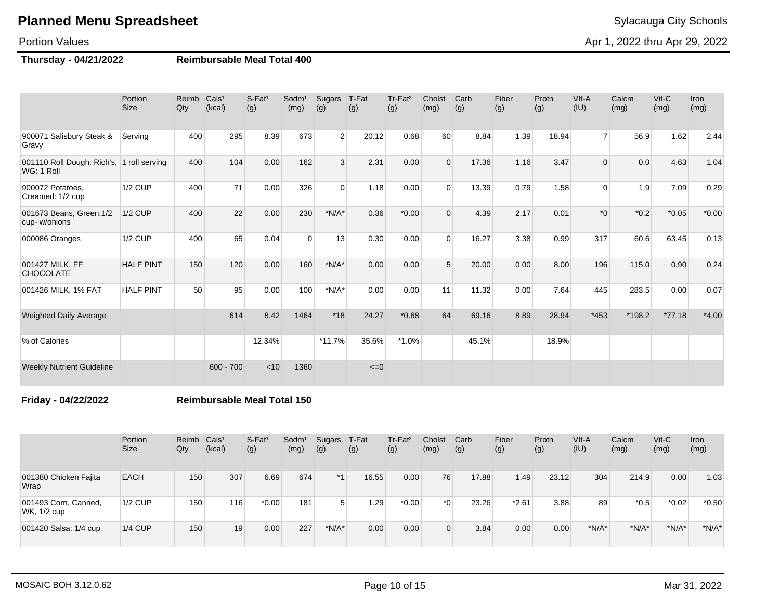### Portion Values

### **Thursday - 04/21/2022 Reimbursable Meal Total 400**

| Sylacauga City Scho |  |  |
|---------------------|--|--|
|---------------------|--|--|

Apr 1, 2022 thru Apr 29, 2022

|                                                         | Portion<br><b>Size</b> | Reimb<br>Qty | Cals <sup>1</sup><br>(kcal) | $S$ -Fat <sup>1</sup><br>(g) | Sodm <sup>1</sup><br>(mg) | Sugars<br>(g)  | T-Fat<br>(g) | Tr-Fat <sup>2</sup><br>(g) | Cholst<br>(mg) | Carb<br>(g) | Fiber<br>(g) | Protn<br>(g) | VIt-A<br>(IU)  | Calcm<br>(mg) | $Vit-C$<br>(mg) | <b>Iron</b><br>(mg) |
|---------------------------------------------------------|------------------------|--------------|-----------------------------|------------------------------|---------------------------|----------------|--------------|----------------------------|----------------|-------------|--------------|--------------|----------------|---------------|-----------------|---------------------|
| 900071 Salisbury Steak &<br>Gravy                       | Serving                | 400          | 295                         | 8.39                         | 673                       | $\overline{2}$ | 20.12        | 0.68                       | 60             | 8.84        | 1.39         | 18.94        | $\overline{7}$ | 56.9          | 1.62            | 2.44                |
| 001110 Roll Dough: Rich's, 1 roll serving<br>WG: 1 Roll |                        | 400          | 104                         | 0.00                         | 162                       | 3              | 2.31         | 0.00                       | $\Omega$       | 17.36       | 1.16         | 3.47         | 0              | 0.0           | 4.63            | 1.04                |
| 900072 Potatoes.<br>Creamed: 1/2 cup                    | $1/2$ CUP              | 400          | 71                          | 0.00                         | 326                       | $\Omega$       | 1.18         | 0.00                       | $\Omega$       | 13.39       | 0.79         | 1.58         | 0              | 1.9           | 7.09            | 0.29                |
| 001673 Beans, Green: 1/2<br>cup-w/onions                | <b>1/2 CUP</b>         | 400          | 22                          | 0.00                         | 230                       | $*N/A*$        | 0.36         | $*0.00*$                   | $\Omega$       | 4.39        | 2.17         | 0.01         | $*_{0}$        | $*0.2$        | $*0.05$         | $*0.00$             |
| 000086 Oranges                                          | <b>1/2 CUP</b>         | 400          | 65                          | 0.04                         | 0                         | 13             | 0.30         | 0.00                       | $\Omega$       | 16.27       | 3.38         | 0.99         | 317            | 60.6          | 63.45           | 0.13                |
| 001427 MILK, FF<br><b>CHOCOLATE</b>                     | <b>HALF PINT</b>       | 150          | 120                         | 0.00                         | 160                       | $*N/A*$        | 0.00         | 0.00                       | 5              | 20.00       | 0.00         | 8.00         | 196            | 115.0         | 0.90            | 0.24                |
| 001426 MILK, 1% FAT                                     | <b>HALF PINT</b>       | 50           | 95                          | 0.00                         | 100                       | $*N/A*$        | 0.00         | 0.00                       | 11             | 11.32       | 0.00         | 7.64         | 445            | 283.5         | 0.00            | 0.07                |
| <b>Weighted Daily Average</b>                           |                        |              | 614                         | 8.42                         | 1464                      | $*18$          | 24.27        | $*0.68$                    | 64             | 69.16       | 8.89         | 28.94        | $*453$         | $*198.2$      | $*77.18$        | $*4.00$             |
| % of Calories                                           |                        |              |                             | 12.34%                       |                           | $*11.7%$       | 35.6%        | $*1.0\%$                   |                | 45.1%       |              | 18.9%        |                |               |                 |                     |
| <b>Weekly Nutrient Guideline</b>                        |                        |              | $600 - 700$                 | < 10                         | 1360                      |                | $\leq=0$     |                            |                |             |              |              |                |               |                 |                     |

**Friday - 04/22/2022 Reimbursable Meal Total 150**

|                                     | Portion<br>Size | Reimb<br>Qty | Cals <sup>1</sup><br>(kcal) | S-Fat <sup>1</sup><br>(g) | Sodm <sup>1</sup><br>(mg) | Sugars<br>(g) | T-Fat<br>(g) | Tr-Fat <sup>2</sup><br>(g) | Cholst<br>(mg) | Carb<br>(g) | Fiber<br>(g) | Protn<br>(g) | VIt-A<br>(IU) | Calcm<br>(mg) | $V$ it-C<br>(mg) | Iron<br>(mg) |
|-------------------------------------|-----------------|--------------|-----------------------------|---------------------------|---------------------------|---------------|--------------|----------------------------|----------------|-------------|--------------|--------------|---------------|---------------|------------------|--------------|
| 001380 Chicken Fajita<br>Wrap       | <b>EACH</b>     | 150          | 307                         | 6.69                      | 674                       | $*1$          | 16.55        | 0.00                       | 76             | 17.88       | 1.49         | 23.12        | 304           | 214.9         | 0.00             | 1.03         |
| 001493 Corn, Canned,<br>WK, 1/2 cup | $1/2$ CUP       | 150          | 116 <sub>1</sub>            | $*0.00$                   | 181                       | 5             | 1.29         | $*0.00$                    | $*01$          | 23.26       | $*2.61$      | 3.88         | 89            | $*0.5$        | $*0.02$          | $*0.50$      |
| 001420 Salsa: 1/4 cup               | $1/4$ CUP       | 150          | 19                          | 0.00                      | 227                       | $*N/A*$       | 0.00         | 0.00                       | 0              | 3.84        | 0.00         | 0.00         | $*N/A*$       | $*N/A*$       | $*N/A*$          | $*N/A*$      |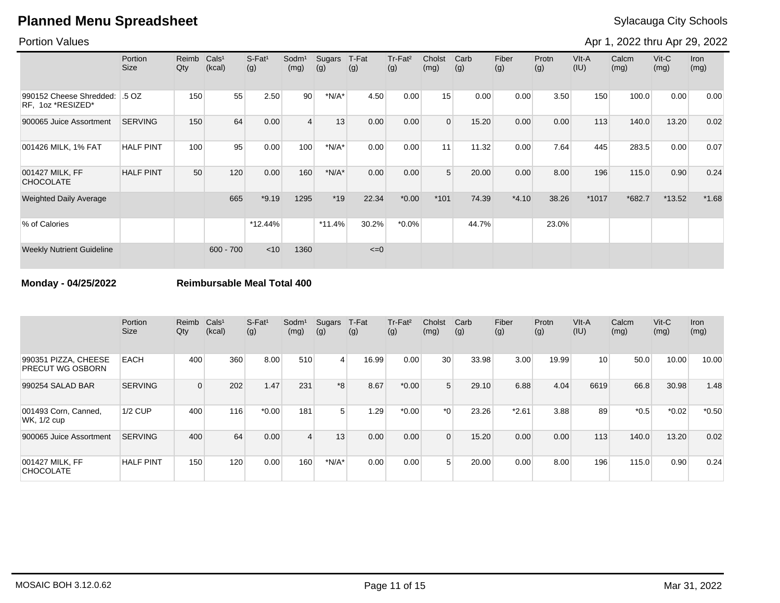### Portion Values

Apr 1, 2022 thru Apr 29, 2022

|                                              | Portion<br><b>Size</b> | Reimb<br>Qty | CalS <sup>1</sup><br>(kcal) | $S-Fat1$<br>(g) | Sodm <sup>1</sup><br>(mg) | Sugars<br>(g) | T-Fat<br>(g) | Tr-Fat <sup>2</sup><br>(g) | Cholst<br>(mg) | Carb<br>(g) | Fiber<br>(g) | Protn<br>(g) | VIt-A<br>(IU) | Calcm<br>(mg) | $V$ it-C<br>(mg) | <b>Iron</b><br>(mg) |
|----------------------------------------------|------------------------|--------------|-----------------------------|-----------------|---------------------------|---------------|--------------|----------------------------|----------------|-------------|--------------|--------------|---------------|---------------|------------------|---------------------|
| 990152 Cheese Shredded:<br>RF, 1oz *RESIZED* | .5 OZ                  | 150          | 55                          | 2.50            | 90 <sup>°</sup>           | $*N/A*$       | 4.50         | 0.00                       | 15             | 0.00        | 0.00         | 3.50         | 150           | 100.0         | 0.00             | 0.00                |
| 900065 Juice Assortment                      | <b>SERVING</b>         | 150          | 64                          | 0.00            | $\overline{4}$            | 13            | 0.00         | 0.00                       | $\Omega$       | 15.20       | 0.00         | 0.00         | 113           | 140.0         | 13.20            | 0.02                |
| 001426 MILK, 1% FAT                          | <b>HALF PINT</b>       | 100          | 95                          | 0.00            | 100                       | $*N/A*$       | 0.00         | 0.00                       | 11             | 11.32       | 0.00         | 7.64         | 445           | 283.5         | 0.00             | 0.07                |
| 001427 MILK, FF<br><b>CHOCOLATE</b>          | <b>HALF PINT</b>       | 50           | 120                         | 0.00            | 160                       | $*N/A*$       | 0.00         | 0.00                       | 5              | 20.00       | 0.00         | 8.00         | 196           | 115.0         | 0.90             | 0.24                |
| <b>Weighted Daily Average</b>                |                        |              | 665                         | $*9.19$         | 1295                      | $*19$         | 22.34        | $*0.00$                    | $*101$         | 74.39       | $*4.10$      | 38.26        | *1017         | $*682.7$      | $*13.52$         | $*1.68$             |
| % of Calories                                |                        |              |                             | $*12.44\%$      |                           | $*11.4%$      | 30.2%        | $*0.0\%$                   |                | 44.7%       |              | 23.0%        |               |               |                  |                     |
| <b>Weekly Nutrient Guideline</b>             |                        |              | $600 - 700$                 | $<$ 10          | 1360                      |               | $\leq=0$     |                            |                |             |              |              |               |               |                  |                     |

**Monday - 04/25/2022 Reimbursable Meal Total 400**

|                                                 | Portion<br><b>Size</b> | Reimb<br>Qty | Cals <sup>1</sup><br>(kcal) | $S$ -Fat <sup>1</sup><br>(g) | Sodm <sup>1</sup><br>(mg) | Sugars<br>(g)           | T-Fat<br>(g) | Tr-Fat <sup>2</sup><br>(g) | Cholst<br>(mg) | Carb<br>(g) | Fiber<br>(g) | Protn<br>(g) | VIt-A<br>(IU)   | Calcm<br>(mg) | $V$ it-C<br>(mg) | Iron<br>(mg) |
|-------------------------------------------------|------------------------|--------------|-----------------------------|------------------------------|---------------------------|-------------------------|--------------|----------------------------|----------------|-------------|--------------|--------------|-----------------|---------------|------------------|--------------|
| 990351 PIZZA, CHEESE<br><b>PRECUT WG OSBORN</b> | <b>EACH</b>            | 400          | 360                         | 8.00                         | 510                       | $\overline{\mathbf{4}}$ | 16.99        | 0.00                       | 30             | 33.98       | 3.00         | 19.99        | 10 <sup>1</sup> | 50.0          | 10.00            | 10.00        |
| 990254 SALAD BAR                                | <b>SERVING</b>         |              | 202                         | 1.47                         | 231                       | $*8$                    | 8.67         | $*0.00$                    | 5              | 29.10       | 6.88         | 4.04         | 6619            | 66.8          | 30.98            | 1.48         |
| 001493 Corn, Canned,<br>WK, 1/2 cup             | 1/2 CUP                | 400          | 116                         | $*0.00$                      | 181                       | 5                       | 1.29         | $*0.00$                    | $*$ $\Omega$   | 23.26       | $*2.61$      | 3.88         | 89              | $*0.5$        | $*0.02$          | $*0.50$      |
| 900065 Juice Assortment                         | <b>SERVING</b>         | 400          | 64                          | 0.00                         | 4                         | 13                      | 0.00         | 0.00                       | $\Omega$       | 15.20       | 0.00         | 0.00         | 113             | 140.0         | 13.20            | 0.02         |
| 001427 MILK. FF<br><b>CHOCOLATE</b>             | <b>HALF PINT</b>       | 150          | 120                         | 0.00                         | 160                       | $*N/A*$                 | 0.00         | 0.00                       | 5              | 20.00       | 0.00         | 8.00         | 196             | 115.0         | 0.90             | 0.24         |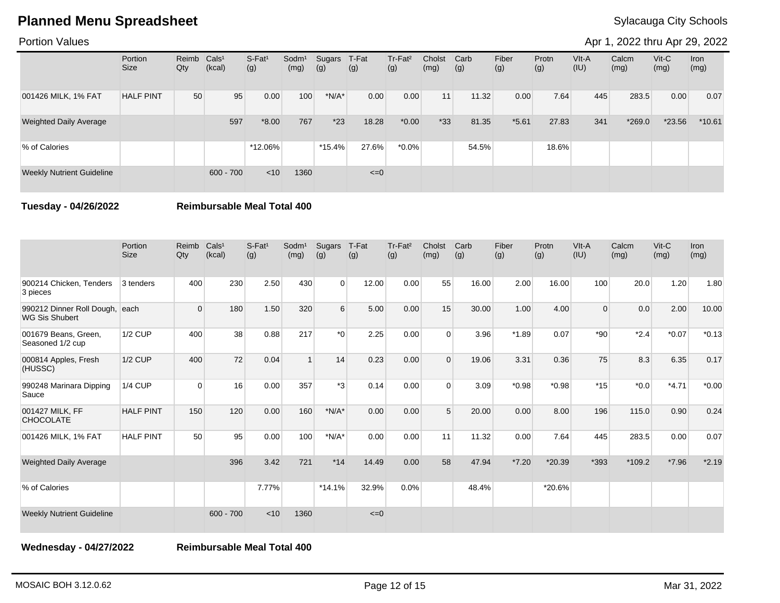### Portion Values

Apr 1, 2022 thru Apr 29, 2022

|                                  | Portion<br><b>Size</b> | Reimb Cals <sup>1</sup><br>Qty | (kcal)      | $S-Fat1$<br>(g) | Sodm <sup>1</sup><br>(mg) | Sugars<br>(g) | T-Fat<br>(g) | Tr-Fat <sup>2</sup><br>(g) | Cholst<br>(mg) | Carb<br>(g) | Fiber<br>(g) | Protn<br>(g) | VIt-A<br>(IU) | Calcm<br>(mg) | $V$ it-C<br>(mg) | <b>Iron</b><br>(mg) |
|----------------------------------|------------------------|--------------------------------|-------------|-----------------|---------------------------|---------------|--------------|----------------------------|----------------|-------------|--------------|--------------|---------------|---------------|------------------|---------------------|
| 001426 MILK, 1% FAT              | <b>HALF PINT</b>       | 50                             | 95          | 0.00            | 100                       | $*N/A*$       | 0.00         | 0.00                       | 11             | 11.32       | 0.00         | 7.64         | 445           | 283.5         | 0.00             | 0.07                |
| <b>Weighted Daily Average</b>    |                        |                                | 597         | $*8.00$         | 767                       | $*23$         | 18.28        | $*0.00$                    | $*33$          | 81.35       | $*5.61$      | 27.83        | 341           | $*269.0$      | $*23.56$         | $*10.61$            |
| % of Calories                    |                        |                                |             | *12.06%         |                           | $*15.4%$      | 27.6%        | $*0.0\%$                   |                | 54.5%       |              | 18.6%        |               |               |                  |                     |
| <b>Weekly Nutrient Guideline</b> |                        |                                | $600 - 700$ | < 10            | 1360                      |               | $\leq=0$     |                            |                |             |              |              |               |               |                  |                     |

**Tuesday - 04/26/2022 Reimbursable Meal Total 400**

|                                                    | Portion<br><b>Size</b> | Reimb<br>Qty | Cals <sup>1</sup><br>(kcal) | $S$ -Fat <sup>1</sup><br>(g) | Sodm <sup>1</sup><br>(mg) | Sugars<br>(g) | T-Fat<br>(g) | Tr-Fat <sup>2</sup><br>(g) | Cholst<br>(mg) | Carb<br>(g) | Fiber<br>(g) | Protn<br>(g) | VIt-A<br>(IU) | Calcm<br>(mg) | Vit-C<br>(mg) | Iron<br>(mg) |
|----------------------------------------------------|------------------------|--------------|-----------------------------|------------------------------|---------------------------|---------------|--------------|----------------------------|----------------|-------------|--------------|--------------|---------------|---------------|---------------|--------------|
| 900214 Chicken, Tenders<br>3 pieces                | 3 tenders              | 400          | 230                         | 2.50                         | 430                       | $\Omega$      | 12.00        | 0.00                       | 55             | 16.00       | 2.00         | 16.00        | 100           | 20.0          | 1.20          | 1.80         |
| 990212 Dinner Roll Dough,<br><b>WG Sis Shubert</b> | each                   | $\Omega$     | 180                         | 1.50                         | 320                       | 6             | 5.00         | 0.00                       | 15             | 30.00       | 1.00         | 4.00         | $\Omega$      | 0.0           | 2.00          | 10.00        |
| 001679 Beans, Green,<br>Seasoned 1/2 cup           | 1/2 CUP                | 400          | 38                          | 0.88                         | 217                       | $*_{0}$       | 2.25         | 0.00                       | $\Omega$       | 3.96        | $*1.89$      | 0.07         | $*90$         | $*2.4$        | $*0.07$       | $*0.13$      |
| 000814 Apples, Fresh<br>(HUSSC)                    | $1/2$ CUP              | 400          | 72                          | 0.04                         |                           | 14            | 0.23         | 0.00                       | $\Omega$       | 19.06       | 3.31         | 0.36         | 75            | 8.3           | 6.35          | 0.17         |
| 990248 Marinara Dipping<br>Sauce                   | <b>1/4 CUP</b>         | $\Omega$     | 16                          | 0.00                         | 357                       | $*3$          | 0.14         | 0.00                       | $\Omega$       | 3.09        | $*0.98$      | $*0.98$      | $*15$         | $*0.0*$       | $*4.71$       | $*0.00$      |
| 001427 MILK, FF<br><b>CHOCOLATE</b>                | <b>HALF PINT</b>       | 150          | 120                         | 0.00                         | 160                       | $*N/A*$       | 0.00         | 0.00                       | 5              | 20.00       | 0.00         | 8.00         | 196           | 115.0         | 0.90          | 0.24         |
| 001426 MILK, 1% FAT                                | <b>HALF PINT</b>       | 50           | 95                          | 0.00                         | 100                       | $*N/A*$       | 0.00         | 0.00                       | 11             | 11.32       | 0.00         | 7.64         | 445           | 283.5         | 0.00          | 0.07         |
| <b>Weighted Daily Average</b>                      |                        |              | 396                         | 3.42                         | 721                       | $*14$         | 14.49        | 0.00                       | 58             | 47.94       | $*7.20$      | *20.39       | *393          | $*109.2$      | $*7.96$       | $*2.19$      |
| % of Calories                                      |                        |              |                             | 7.77%                        |                           | $*14.1%$      | 32.9%        | $0.0\%$                    |                | 48.4%       |              | *20.6%       |               |               |               |              |
| <b>Weekly Nutrient Guideline</b>                   |                        |              | $600 - 700$                 | < 10                         | 1360                      |               | $\leq=0$     |                            |                |             |              |              |               |               |               |              |

**Wednesday - 04/27/2022 Reimbursable Meal Total 400**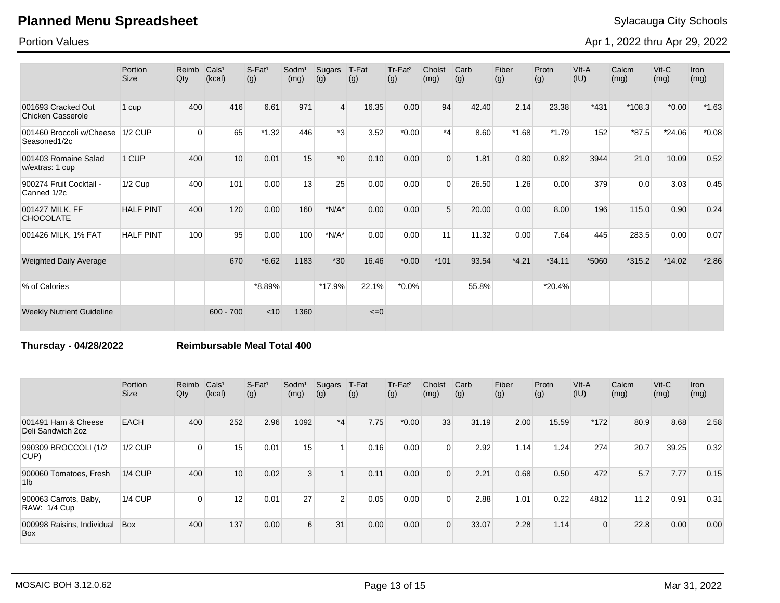Portion Values

Apr 1, 2022 thru Apr 29, 2022

|                                                | Portion<br><b>Size</b> | Reimb<br>Qty | Cals <sup>1</sup><br>(kcal) | $S-Fat1$<br>(g) | Sodm <sup>1</sup><br>(mg) | Sugars<br>(g)    | T-Fat<br>(g) | Tr-Fat <sup>2</sup><br>(g) | Cholst<br>(mg) | Carb<br>(g) | Fiber<br>(g) | Protn<br>(g) | $V$ lt-A<br>(IU) | Calcm<br>(mg) | $V$ it-C<br>(mg) | Iron<br>(mg) |
|------------------------------------------------|------------------------|--------------|-----------------------------|-----------------|---------------------------|------------------|--------------|----------------------------|----------------|-------------|--------------|--------------|------------------|---------------|------------------|--------------|
| 001693 Cracked Out<br><b>Chicken Casserole</b> | 1 cup                  | 400          | 416                         | 6.61            | 971                       | $\overline{4}$   | 16.35        | 0.00                       | 94             | 42.40       | 2.14         | 23.38        | $*431$           | $*108.3$      | $*0.00$          | $*1.63$      |
| 001460 Broccoli w/Cheese<br>Seasoned1/2c       | $1/2$ CUP              | $\Omega$     | 65                          | $*1.32$         | 446                       | $*3$             | 3.52         | $*0.00$                    | $^*4$          | 8.60        | $*1.68$      | $*1.79$      | 152              | $*87.5$       | $*24.06$         | $*0.08$      |
| 001403 Romaine Salad<br>w/extras: 1 cup        | 1 CUP                  | 400          | 10                          | 0.01            | 15                        | $*$ <sup>0</sup> | 0.10         | 0.00                       | $\Omega$       | 1.81        | 0.80         | 0.82         | 3944             | 21.0          | 10.09            | 0.52         |
| 900274 Fruit Cocktail -<br>Canned 1/2c         | $1/2$ Cup              | 400          | 101                         | 0.00            | 13                        | 25               | 0.00         | 0.00                       | $\Omega$       | 26.50       | 1.26         | 0.00         | 379              | 0.0           | 3.03             | 0.45         |
| 001427 MILK, FF<br><b>CHOCOLATE</b>            | <b>HALF PINT</b>       | 400          | 120                         | 0.00            | 160                       | $*N/A*$          | 0.00         | 0.00                       | 5              | 20.00       | 0.00         | 8.00         | 196              | 115.0         | 0.90             | 0.24         |
| 001426 MILK, 1% FAT                            | <b>HALF PINT</b>       | 100          | 95                          | 0.00            | 100                       | $*N/A*$          | 0.00         | 0.00                       | 11             | 11.32       | 0.00         | 7.64         | 445              | 283.5         | 0.00             | 0.07         |
| <b>Weighted Daily Average</b>                  |                        |              | 670                         | $*6.62$         | 1183                      | $*30$            | 16.46        | $*0.00*$                   | $*101$         | 93.54       | $*4.21$      | $*34.11$     | *5060            | $*315.2$      | $*14.02$         | $*2.86$      |
| % of Calories                                  |                        |              |                             | *8.89%          |                           | *17.9%           | 22.1%        | $*0.0\%$                   |                | 55.8%       |              | $*20.4%$     |                  |               |                  |              |
| <b>Weekly Nutrient Guideline</b>               |                        |              | $600 - 700$                 | < 10            | 1360                      |                  | $\leq=0$     |                            |                |             |              |              |                  |               |                  |              |

**Thursday - 04/28/2022 Reimbursable Meal Total 400**

|                                              | Portion<br><b>Size</b> | Reimb<br>Qty | Cals <sup>1</sup><br>(kcal) | $S-Fat1$<br>(g) | Sodm <sup>1</sup><br>(mg) | Sugars<br>(g)  | T-Fat<br>(g) | Tr-Fat <sup>2</sup><br>(g) | Cholst<br>(mg) | Carb<br>(g) | Fiber<br>(g) | Protn<br>(g) | VIt-A<br>(IU) | Calcm<br>(mg) | $V$ it-C<br>(mg) | Iron<br>(mg) |
|----------------------------------------------|------------------------|--------------|-----------------------------|-----------------|---------------------------|----------------|--------------|----------------------------|----------------|-------------|--------------|--------------|---------------|---------------|------------------|--------------|
| 001491 Ham & Cheese<br>Deli Sandwich 2oz     | <b>EACH</b>            | 400          | 252                         | 2.96            | 1092                      | $*_{4}$        | 7.75         | $*0.00$                    | 33             | 31.19       | 2.00         | 15.59        | $*172$        | 80.9          | 8.68             | 2.58         |
| 990309 BROCCOLI (1/2<br>CUP)                 | $1/2$ CUP              | 0            | 15                          | 0.01            | 15                        |                | 0.16         | 0.00                       |                | 2.92        | 1.14         | 1.24         | 274           | 20.7          | 39.25            | 0.32         |
| 900060 Tomatoes, Fresh<br>1 <sub>lb</sub>    | $1/4$ CUP              | 400          | 10                          | 0.02            | 3                         |                | 0.11         | 0.00                       |                | 2.21        | 0.68         | 0.50         | 472           | 5.7           | 7.77             | 0.15         |
| 900063 Carrots, Baby,<br><b>RAW: 1/4 Cup</b> | $1/4$ CUP              | $\Omega$     | 12                          | 0.01            | 27                        | $\overline{2}$ | 0.05         | 0.00                       |                | 2.88        | 1.01         | 0.22         | 4812          | 11.2          | 0.91             | 0.31         |
| 000998 Raisins, Individual<br><b>Box</b>     | <b>Box</b>             | 400          | 137                         | 0.00            | 6 <sup>1</sup>            | 31             | 0.00         | 0.00                       | $\Omega$       | 33.07       | 2.28         | 1.14         | $\Omega$      | 22.8          | 0.00             | 0.00         |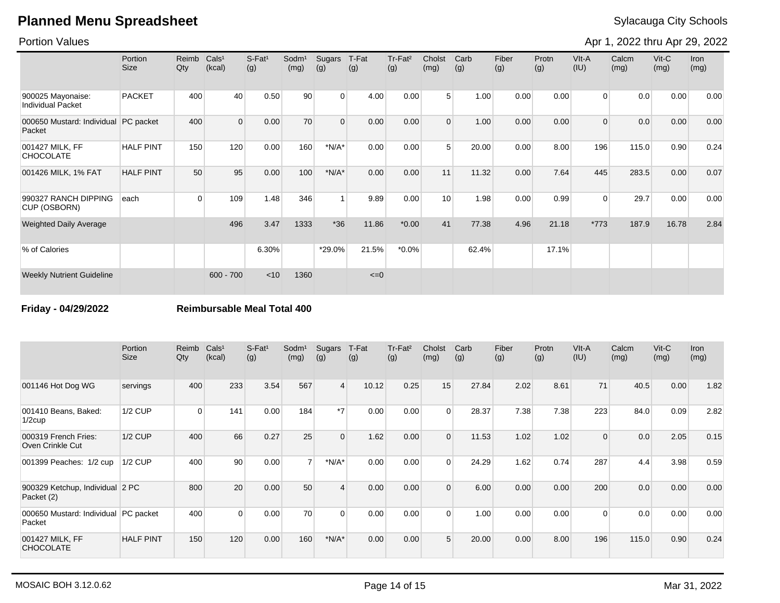Portion Values

Apr 1, 2022 thru Apr 29, 2022

|                                               | Portion<br><b>Size</b> | Reimb<br>Qty | Cals <sup>1</sup><br>(kcal) | $S$ -Fat <sup>1</sup><br>(g) | Sodm <sup>1</sup><br>(mg) | Sugars<br>(g)  | T-Fat<br>(g) | Tr-Fat <sup>2</sup><br>(g) | Cholst<br>(mg)  | Carb<br>(g) | Fiber<br>(g) | Protn<br>(g) | $V$ lt-A<br>(IU) | Calcm<br>(mg) | $V$ it-C<br>(mg) | <b>Iron</b><br>(mg) |
|-----------------------------------------------|------------------------|--------------|-----------------------------|------------------------------|---------------------------|----------------|--------------|----------------------------|-----------------|-------------|--------------|--------------|------------------|---------------|------------------|---------------------|
| 900025 Mayonaise:<br><b>Individual Packet</b> | <b>PACKET</b>          | 400          | 40                          | 0.50                         | 90                        | $\Omega$       | 4.00         | 0.00                       | 5 <sup>1</sup>  | 1.00        | 0.00         | 0.00         | $\overline{0}$   | 0.0           | 0.00             | 0.00                |
| 000650 Mustard: Individual<br>Packet          | PC packet              | 400          | $\Omega$                    | 0.00                         | 70                        | $\Omega$       | 0.00         | 0.00                       | $\Omega$        | 1.00        | 0.00         | 0.00         | $\Omega$         | 0.0           | 0.00             | 0.00                |
| 001427 MILK, FF<br><b>CHOCOLATE</b>           | <b>HALF PINT</b>       | 150          | 120                         | 0.00                         | 160                       | $*N/A*$        | 0.00         | 0.00                       | 5               | 20.00       | 0.00         | 8.00         | 196              | 115.0         | 0.90             | 0.24                |
| 001426 MILK, 1% FAT                           | <b>HALF PINT</b>       | 50           | 95                          | 0.00                         | 100                       | $*N/A*$        | 0.00         | 0.00                       | 11              | 11.32       | 0.00         | 7.64         | 445              | 283.5         | 0.00             | 0.07                |
| 990327 RANCH DIPPING<br>CUP (OSBORN)          | each                   | 0            | 109                         | 1.48                         | 346                       | $\overline{ }$ | 9.89         | 0.00                       | 10 <sup>1</sup> | 1.98        | 0.00         | 0.99         | $\mathbf 0$      | 29.7          | 0.00             | 0.00                |
| <b>Weighted Daily Average</b>                 |                        |              | 496                         | 3.47                         | 1333                      | $*36$          | 11.86        | $*0.00*$                   | 41              | 77.38       | 4.96         | 21.18        | $*773$           | 187.9         | 16.78            | 2.84                |
| % of Calories                                 |                        |              |                             | 6.30%                        |                           | *29.0%         | 21.5%        | $*0.0\%$                   |                 | 62.4%       |              | 17.1%        |                  |               |                  |                     |
| <b>Weekly Nutrient Guideline</b>              |                        |              | $600 - 700$                 | < 10                         | 1360                      |                | $\leq=0$     |                            |                 |             |              |              |                  |               |                  |                     |

**Friday - 04/29/2022 Reimbursable Meal Total 400**

|                                                | Portion<br><b>Size</b> | Reimb<br>Qty | Cals <sup>1</sup><br>(kcal) | $S$ -Fat <sup>1</sup><br>(g) | Sodm <sup>1</sup><br>(mg) | Sugars<br>(g)           | T-Fat<br>(g) | Tr-Fat <sup>2</sup><br>(g) | Cholst<br>(mg) | Carb<br>(g) | Fiber<br>(g) | Protn<br>(g) | VIt-A<br>(IU) | Calcm<br>(mg) | $V$ it-C<br>(mg) | Iron<br>(mg) |
|------------------------------------------------|------------------------|--------------|-----------------------------|------------------------------|---------------------------|-------------------------|--------------|----------------------------|----------------|-------------|--------------|--------------|---------------|---------------|------------------|--------------|
| 001146 Hot Dog WG                              | servings               | 400          | 233                         | 3.54                         | 567                       | $\overline{4}$          | 10.12        | 0.25                       | 15             | 27.84       | 2.02         | 8.61         | 71            | 40.5          | 0.00             | 1.82         |
| 001410 Beans, Baked:<br>$1/2$ cup              | 1/2 CUP                | $\Omega$     | 141                         | 0.00                         | 184                       | $*7$                    | 0.00         | 0.00                       | $\Omega$       | 28.37       | 7.38         | 7.38         | 223           | 84.0          | 0.09             | 2.82         |
| 000319 French Fries:<br>Oven Crinkle Cut       | $1/2$ CUP              | 400          | 66                          | 0.27                         | 25                        | $\mathbf{0}$            | 1.62         | 0.00                       | $\Omega$       | 11.53       | 1.02         | 1.02         | 0             | 0.0           | 2.05             | 0.15         |
| 001399 Peaches: 1/2 cup                        | $1/2$ CUP              | 400          | 90 <sup>°</sup>             | 0.00                         | 7 <sup>1</sup>            | $*N/A*$                 | 0.00         | 0.00                       | $\mathbf 0$    | 24.29       | 1.62         | 0.74         | 287           | 4.4           | 3.98             | 0.59         |
| 900329 Ketchup, Individual 2 PC<br>Packet (2)  |                        | 800          | 20                          | 0.00                         | 50                        | $\overline{\mathbf{A}}$ | 0.00         | 0.00                       | $\Omega$       | 6.00        | 0.00         | 0.00         | 200           | 0.0           | 0.00             | 0.00         |
| 000650 Mustard: Individual PC packet<br>Packet |                        | 400          | $\Omega$                    | 0.00                         | 70                        | $\Omega$                | 0.00         | 0.00                       | $\Omega$       | 1.00        | 0.00         | 0.00         | $\Omega$      | 0.0           | 0.00             | 0.00         |
| 001427 MILK, FF<br><b>CHOCOLATE</b>            | <b>HALF PINT</b>       | 150          | 120                         | 0.00                         | 160                       | $*N/A*$                 | 0.00         | 0.00                       | 5              | 20.00       | 0.00         | 8.00         | 196           | 115.0         | 0.90             | 0.24         |